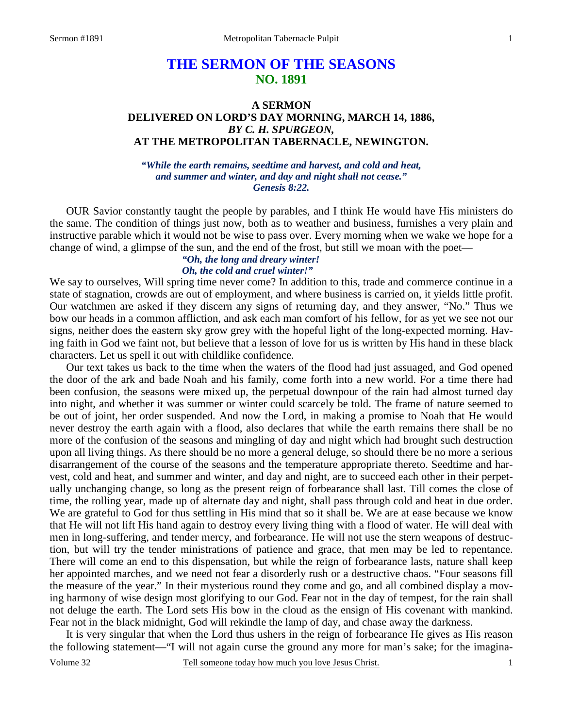# **THE SERMON OF THE SEASONS NO. 1891**

### **A SERMON DELIVERED ON LORD'S DAY MORNING, MARCH 14, 1886,**  *BY C. H. SPURGEON,*  **AT THE METROPOLITAN TABERNACLE, NEWINGTON.**

*"While the earth remains, seedtime and harvest, and cold and heat, and summer and winter, and day and night shall not cease." Genesis 8:22.* 

 OUR Savior constantly taught the people by parables, and I think He would have His ministers do the same. The condition of things just now, both as to weather and business, furnishes a very plain and instructive parable which it would not be wise to pass over. Every morning when we wake we hope for a change of wind, a glimpse of the sun, and the end of the frost, but still we moan with the poet—

### *"Oh, the long and dreary winter! Oh, the cold and cruel winter!"*

We say to ourselves, Will spring time never come? In addition to this, trade and commerce continue in a state of stagnation, crowds are out of employment, and where business is carried on, it yields little profit. Our watchmen are asked if they discern any signs of returning day, and they answer, "No." Thus we bow our heads in a common affliction, and ask each man comfort of his fellow, for as yet we see not our signs, neither does the eastern sky grow grey with the hopeful light of the long-expected morning. Having faith in God we faint not, but believe that a lesson of love for us is written by His hand in these black characters. Let us spell it out with childlike confidence.

 Our text takes us back to the time when the waters of the flood had just assuaged, and God opened the door of the ark and bade Noah and his family, come forth into a new world. For a time there had been confusion, the seasons were mixed up, the perpetual downpour of the rain had almost turned day into night, and whether it was summer or winter could scarcely be told. The frame of nature seemed to be out of joint, her order suspended. And now the Lord, in making a promise to Noah that He would never destroy the earth again with a flood, also declares that while the earth remains there shall be no more of the confusion of the seasons and mingling of day and night which had brought such destruction upon all living things. As there should be no more a general deluge, so should there be no more a serious disarrangement of the course of the seasons and the temperature appropriate thereto. Seedtime and harvest, cold and heat, and summer and winter, and day and night, are to succeed each other in their perpetually unchanging change, so long as the present reign of forbearance shall last. Till comes the close of time, the rolling year, made up of alternate day and night, shall pass through cold and heat in due order. We are grateful to God for thus settling in His mind that so it shall be. We are at ease because we know that He will not lift His hand again to destroy every living thing with a flood of water. He will deal with men in long-suffering, and tender mercy, and forbearance. He will not use the stern weapons of destruction, but will try the tender ministrations of patience and grace, that men may be led to repentance. There will come an end to this dispensation, but while the reign of forbearance lasts, nature shall keep her appointed marches, and we need not fear a disorderly rush or a destructive chaos. "Four seasons fill the measure of the year." In their mysterious round they come and go, and all combined display a moving harmony of wise design most glorifying to our God. Fear not in the day of tempest, for the rain shall not deluge the earth. The Lord sets His bow in the cloud as the ensign of His covenant with mankind. Fear not in the black midnight, God will rekindle the lamp of day, and chase away the darkness.

 It is very singular that when the Lord thus ushers in the reign of forbearance He gives as His reason the following statement—"I will not again curse the ground any more for man's sake; for the imagina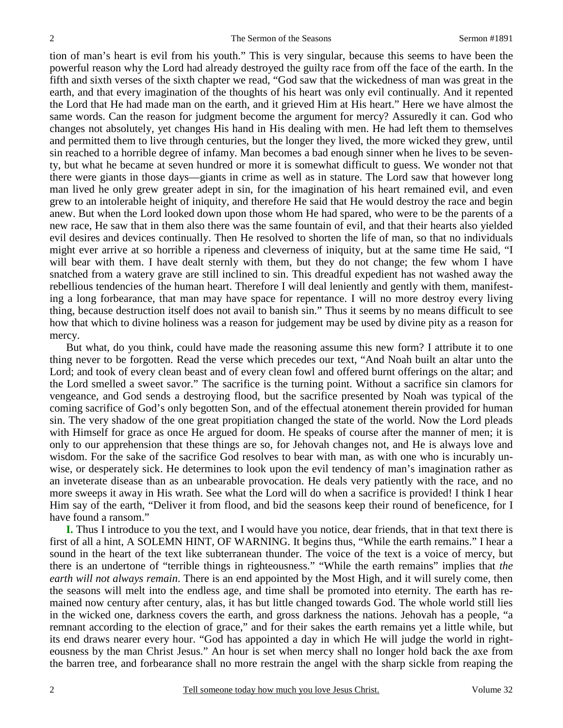tion of man's heart is evil from his youth." This is very singular, because this seems to have been the powerful reason why the Lord had already destroyed the guilty race from off the face of the earth. In the fifth and sixth verses of the sixth chapter we read, "God saw that the wickedness of man was great in the earth, and that every imagination of the thoughts of his heart was only evil continually. And it repented the Lord that He had made man on the earth, and it grieved Him at His heart." Here we have almost the same words. Can the reason for judgment become the argument for mercy? Assuredly it can. God who changes not absolutely, yet changes His hand in His dealing with men. He had left them to themselves and permitted them to live through centuries, but the longer they lived, the more wicked they grew, until sin reached to a horrible degree of infamy. Man becomes a bad enough sinner when he lives to be seventy, but what he became at seven hundred or more it is somewhat difficult to guess. We wonder not that there were giants in those days—giants in crime as well as in stature. The Lord saw that however long man lived he only grew greater adept in sin, for the imagination of his heart remained evil, and even grew to an intolerable height of iniquity, and therefore He said that He would destroy the race and begin anew. But when the Lord looked down upon those whom He had spared, who were to be the parents of a new race, He saw that in them also there was the same fountain of evil, and that their hearts also yielded evil desires and devices continually. Then He resolved to shorten the life of man, so that no individuals might ever arrive at so horrible a ripeness and cleverness of iniquity, but at the same time He said, "I will bear with them. I have dealt sternly with them, but they do not change; the few whom I have snatched from a watery grave are still inclined to sin. This dreadful expedient has not washed away the rebellious tendencies of the human heart. Therefore I will deal leniently and gently with them, manifesting a long forbearance, that man may have space for repentance. I will no more destroy every living thing, because destruction itself does not avail to banish sin." Thus it seems by no means difficult to see how that which to divine holiness was a reason for judgement may be used by divine pity as a reason for mercy.

 But what, do you think, could have made the reasoning assume this new form? I attribute it to one thing never to be forgotten. Read the verse which precedes our text, "And Noah built an altar unto the Lord; and took of every clean beast and of every clean fowl and offered burnt offerings on the altar; and the Lord smelled a sweet savor." The sacrifice is the turning point. Without a sacrifice sin clamors for vengeance, and God sends a destroying flood, but the sacrifice presented by Noah was typical of the coming sacrifice of God's only begotten Son, and of the effectual atonement therein provided for human sin. The very shadow of the one great propitiation changed the state of the world. Now the Lord pleads with Himself for grace as once He argued for doom. He speaks of course after the manner of men; it is only to our apprehension that these things are so, for Jehovah changes not, and He is always love and wisdom. For the sake of the sacrifice God resolves to bear with man, as with one who is incurably unwise, or desperately sick. He determines to look upon the evil tendency of man's imagination rather as an inveterate disease than as an unbearable provocation. He deals very patiently with the race, and no more sweeps it away in His wrath. See what the Lord will do when a sacrifice is provided! I think I hear Him say of the earth, "Deliver it from flood, and bid the seasons keep their round of beneficence, for I have found a ransom."

**I.** Thus I introduce to you the text, and I would have you notice, dear friends, that in that text there is first of all a hint, A SOLEMN HINT, OF WARNING. It begins thus, "While the earth remains." I hear a sound in the heart of the text like subterranean thunder. The voice of the text is a voice of mercy, but there is an undertone of "terrible things in righteousness." "While the earth remains" implies that *the earth will not always remain*. There is an end appointed by the Most High, and it will surely come, then the seasons will melt into the endless age, and time shall be promoted into eternity. The earth has remained now century after century, alas, it has but little changed towards God. The whole world still lies in the wicked one, darkness covers the earth, and gross darkness the nations. Jehovah has a people, "a remnant according to the election of grace," and for their sakes the earth remains yet a little while, but its end draws nearer every hour. "God has appointed a day in which He will judge the world in righteousness by the man Christ Jesus." An hour is set when mercy shall no longer hold back the axe from the barren tree, and forbearance shall no more restrain the angel with the sharp sickle from reaping the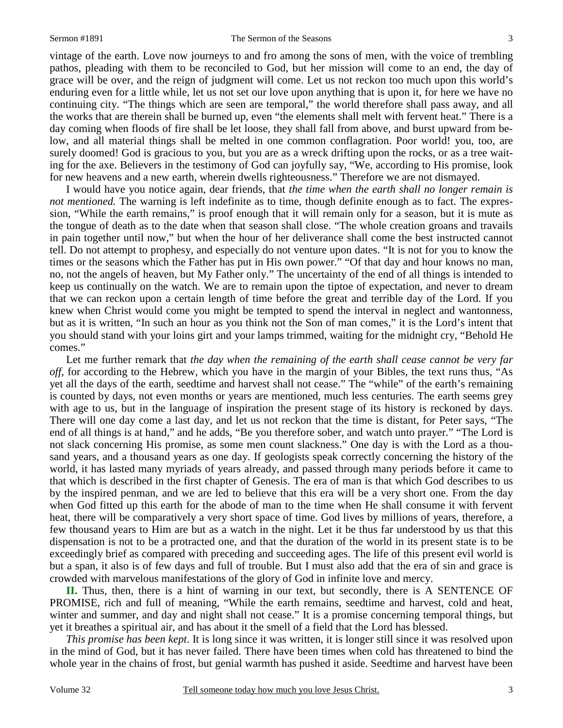#### Sermon #1891 The Sermon of the Seasons 3

vintage of the earth. Love now journeys to and fro among the sons of men, with the voice of trembling pathos, pleading with them to be reconciled to God, but her mission will come to an end, the day of grace will be over, and the reign of judgment will come. Let us not reckon too much upon this world's enduring even for a little while, let us not set our love upon anything that is upon it, for here we have no continuing city. "The things which are seen are temporal," the world therefore shall pass away, and all the works that are therein shall be burned up, even "the elements shall melt with fervent heat." There is a day coming when floods of fire shall be let loose, they shall fall from above, and burst upward from below, and all material things shall be melted in one common conflagration. Poor world! you, too, are surely doomed! God is gracious to you, but you are as a wreck drifting upon the rocks, or as a tree waiting for the axe. Believers in the testimony of God can joyfully say, "We, according to His promise, look for new heavens and a new earth, wherein dwells righteousness." Therefore we are not dismayed.

 I would have you notice again, dear friends, that *the time when the earth shall no longer remain is not mentioned.* The warning is left indefinite as to time, though definite enough as to fact. The expression, "While the earth remains," is proof enough that it will remain only for a season, but it is mute as the tongue of death as to the date when that season shall close. "The whole creation groans and travails in pain together until now," but when the hour of her deliverance shall come the best instructed cannot tell. Do not attempt to prophesy, and especially do not venture upon dates. "It is not for you to know the times or the seasons which the Father has put in His own power." "Of that day and hour knows no man, no, not the angels of heaven, but My Father only." The uncertainty of the end of all things is intended to keep us continually on the watch. We are to remain upon the tiptoe of expectation, and never to dream that we can reckon upon a certain length of time before the great and terrible day of the Lord. If you knew when Christ would come you might be tempted to spend the interval in neglect and wantonness, but as it is written, "In such an hour as you think not the Son of man comes," it is the Lord's intent that you should stand with your loins girt and your lamps trimmed, waiting for the midnight cry, "Behold He comes."

 Let me further remark that *the day when the remaining of the earth shall cease cannot be very far off*, for according to the Hebrew, which you have in the margin of your Bibles, the text runs thus, "As yet all the days of the earth, seedtime and harvest shall not cease." The "while" of the earth's remaining is counted by days, not even months or years are mentioned, much less centuries. The earth seems grey with age to us, but in the language of inspiration the present stage of its history is reckoned by days. There will one day come a last day, and let us not reckon that the time is distant, for Peter says, "The end of all things is at hand," and he adds, "Be you therefore sober, and watch unto prayer." "The Lord is not slack concerning His promise, as some men count slackness." One day is with the Lord as a thousand years, and a thousand years as one day. If geologists speak correctly concerning the history of the world, it has lasted many myriads of years already, and passed through many periods before it came to that which is described in the first chapter of Genesis. The era of man is that which God describes to us by the inspired penman, and we are led to believe that this era will be a very short one. From the day when God fitted up this earth for the abode of man to the time when He shall consume it with fervent heat, there will be comparatively a very short space of time. God lives by millions of years, therefore, a few thousand years to Him are but as a watch in the night. Let it be thus far understood by us that this dispensation is not to be a protracted one, and that the duration of the world in its present state is to be exceedingly brief as compared with preceding and succeeding ages. The life of this present evil world is but a span, it also is of few days and full of trouble. But I must also add that the era of sin and grace is crowded with marvelous manifestations of the glory of God in infinite love and mercy.

**II.** Thus, then, there is a hint of warning in our text, but secondly, there is A SENTENCE OF PROMISE, rich and full of meaning, "While the earth remains, seedtime and harvest, cold and heat, winter and summer, and day and night shall not cease." It is a promise concerning temporal things, but yet it breathes a spiritual air, and has about it the smell of a field that the Lord has blessed.

*This promise has been kept*. It is long since it was written, it is longer still since it was resolved upon in the mind of God, but it has never failed. There have been times when cold has threatened to bind the whole year in the chains of frost, but genial warmth has pushed it aside. Seedtime and harvest have been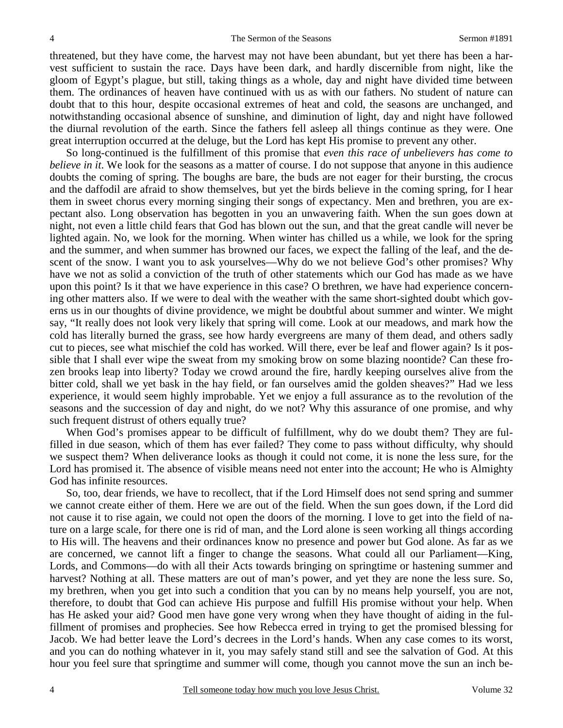threatened, but they have come, the harvest may not have been abundant, but yet there has been a harvest sufficient to sustain the race. Days have been dark, and hardly discernible from night, like the gloom of Egypt's plague, but still, taking things as a whole, day and night have divided time between them. The ordinances of heaven have continued with us as with our fathers. No student of nature can doubt that to this hour, despite occasional extremes of heat and cold, the seasons are unchanged, and notwithstanding occasional absence of sunshine, and diminution of light, day and night have followed the diurnal revolution of the earth. Since the fathers fell asleep all things continue as they were. One great interruption occurred at the deluge, but the Lord has kept His promise to prevent any other.

 So long-continued is the fulfillment of this promise that *even this race of unbelievers has come to believe in it*. We look for the seasons as a matter of course. I do not suppose that anyone in this audience doubts the coming of spring. The boughs are bare, the buds are not eager for their bursting, the crocus and the daffodil are afraid to show themselves, but yet the birds believe in the coming spring, for I hear them in sweet chorus every morning singing their songs of expectancy. Men and brethren, you are expectant also. Long observation has begotten in you an unwavering faith. When the sun goes down at night, not even a little child fears that God has blown out the sun, and that the great candle will never be lighted again. No, we look for the morning. When winter has chilled us a while, we look for the spring and the summer, and when summer has browned our faces, we expect the falling of the leaf, and the descent of the snow. I want you to ask yourselves—Why do we not believe God's other promises? Why have we not as solid a conviction of the truth of other statements which our God has made as we have upon this point? Is it that we have experience in this case? O brethren, we have had experience concerning other matters also. If we were to deal with the weather with the same short-sighted doubt which governs us in our thoughts of divine providence, we might be doubtful about summer and winter. We might say, "It really does not look very likely that spring will come. Look at our meadows, and mark how the cold has literally burned the grass, see how hardy evergreens are many of them dead, and others sadly cut to pieces, see what mischief the cold has worked. Will there, ever be leaf and flower again? Is it possible that I shall ever wipe the sweat from my smoking brow on some blazing noontide? Can these frozen brooks leap into liberty? Today we crowd around the fire, hardly keeping ourselves alive from the bitter cold, shall we yet bask in the hay field, or fan ourselves amid the golden sheaves?" Had we less experience, it would seem highly improbable. Yet we enjoy a full assurance as to the revolution of the seasons and the succession of day and night, do we not? Why this assurance of one promise, and why such frequent distrust of others equally true?

 When God's promises appear to be difficult of fulfillment, why do we doubt them? They are fulfilled in due season, which of them has ever failed? They come to pass without difficulty, why should we suspect them? When deliverance looks as though it could not come, it is none the less sure, for the Lord has promised it. The absence of visible means need not enter into the account; He who is Almighty God has infinite resources.

 So, too, dear friends, we have to recollect, that if the Lord Himself does not send spring and summer we cannot create either of them. Here we are out of the field. When the sun goes down, if the Lord did not cause it to rise again, we could not open the doors of the morning. I love to get into the field of nature on a large scale, for there one is rid of man, and the Lord alone is seen working all things according to His will. The heavens and their ordinances know no presence and power but God alone. As far as we are concerned, we cannot lift a finger to change the seasons. What could all our Parliament—King, Lords, and Commons—do with all their Acts towards bringing on springtime or hastening summer and harvest? Nothing at all. These matters are out of man's power, and yet they are none the less sure. So, my brethren, when you get into such a condition that you can by no means help yourself, you are not, therefore, to doubt that God can achieve His purpose and fulfill His promise without your help. When has He asked your aid? Good men have gone very wrong when they have thought of aiding in the fulfillment of promises and prophecies. See how Rebecca erred in trying to get the promised blessing for Jacob. We had better leave the Lord's decrees in the Lord's hands. When any case comes to its worst, and you can do nothing whatever in it, you may safely stand still and see the salvation of God. At this hour you feel sure that springtime and summer will come, though you cannot move the sun an inch be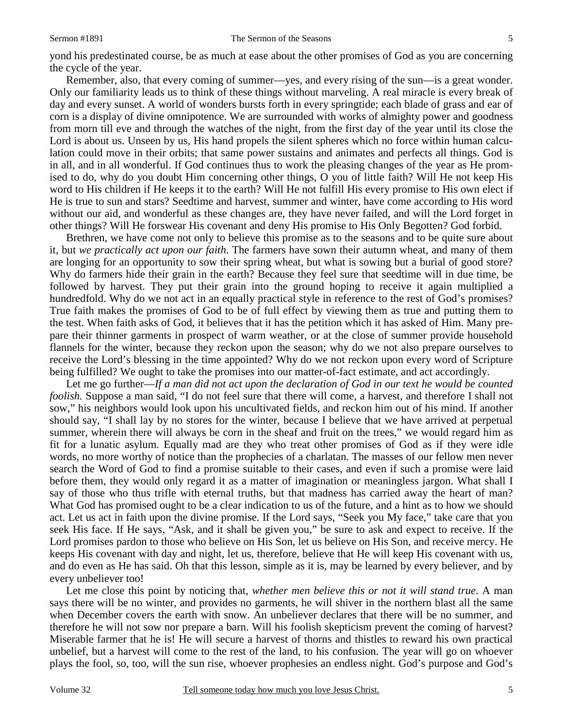yond his predestinated course, be as much at ease about the other promises of God as you are concerning the cycle of the year.

 Remember, also, that every coming of summer—yes, and every rising of the sun—is a great wonder. Only our familiarity leads us to think of these things without marveling. A real miracle is every break of day and every sunset. A world of wonders bursts forth in every springtide; each blade of grass and ear of corn is a display of divine omnipotence. We are surrounded with works of almighty power and goodness from morn till eve and through the watches of the night, from the first day of the year until its close the Lord is about us. Unseen by us, His hand propels the silent spheres which no force within human calculation could move in their orbits; that same power sustains and animates and perfects all things. God is in all, and in all wonderful. If God continues thus to work the pleasing changes of the year as He promised to do, why do you doubt Him concerning other things, O you of little faith? Will He not keep His word to His children if He keeps it to the earth? Will He not fulfill His every promise to His own elect if He is true to sun and stars? Seedtime and harvest, summer and winter, have come according to His word without our aid, and wonderful as these changes are, they have never failed, and will the Lord forget in other things? Will He forswear His covenant and deny His promise to His Only Begotten? God forbid.

 Brethren, we have come not only to believe this promise as to the seasons and to be quite sure about it, but *we practically act upon our faith*. The farmers have sown their autumn wheat, and many of them are longing for an opportunity to sow their spring wheat, but what is sowing but a burial of good store? Why do farmers hide their grain in the earth? Because they feel sure that seedtime will in due time, be followed by harvest. They put their grain into the ground hoping to receive it again multiplied a hundredfold. Why do we not act in an equally practical style in reference to the rest of God's promises? True faith makes the promises of God to be of full effect by viewing them as true and putting them to the test. When faith asks of God, it believes that it has the petition which it has asked of Him. Many prepare their thinner garments in prospect of warm weather, or at the close of summer provide household flannels for the winter, because they reckon upon the season; why do we not also prepare ourselves to receive the Lord's blessing in the time appointed? Why do we not reckon upon every word of Scripture being fulfilled? We ought to take the promises into our matter-of-fact estimate, and act accordingly.

 Let me go further—*If a man did not act upon the declaration of God in our text he would be counted foolish.* Suppose a man said, "I do not feel sure that there will come, a harvest, and therefore I shall not sow," his neighbors would look upon his uncultivated fields, and reckon him out of his mind. If another should say, "I shall lay by no stores for the winter, because I believe that we have arrived at perpetual summer, wherein there will always be corn in the sheaf and fruit on the trees," we would regard him as fit for a lunatic asylum. Equally mad are they who treat other promises of God as if they were idle words, no more worthy of notice than the prophecies of a charlatan. The masses of our fellow men never search the Word of God to find a promise suitable to their cases, and even if such a promise were laid before them, they would only regard it as a matter of imagination or meaningless jargon. What shall I say of those who thus trifle with eternal truths, but that madness has carried away the heart of man? What God has promised ought to be a clear indication to us of the future, and a hint as to how we should act. Let us act in faith upon the divine promise. If the Lord says, "Seek you My face," take care that you seek His face. If He says, "Ask, and it shall be given you," be sure to ask and expect to receive. If the Lord promises pardon to those who believe on His Son, let us believe on His Son, and receive mercy. He keeps His covenant with day and night, let us, therefore, believe that He will keep His covenant with us, and do even as He has said. Oh that this lesson, simple as it is, may be learned by every believer, and by every unbeliever too!

 Let me close this point by noticing that, *whether men believe this or not it will stand true*. A man says there will be no winter, and provides no garments, he will shiver in the northern blast all the same when December covers the earth with snow. An unbeliever declares that there will be no summer, and therefore he will not sow nor prepare a barn. Will his foolish skepticism prevent the coming of harvest? Miserable farmer that he is! He will secure a harvest of thorns and thistles to reward his own practical unbelief, but a harvest will come to the rest of the land, to his confusion. The year will go on whoever plays the fool, so, too, will the sun rise, whoever prophesies an endless night. God's purpose and God's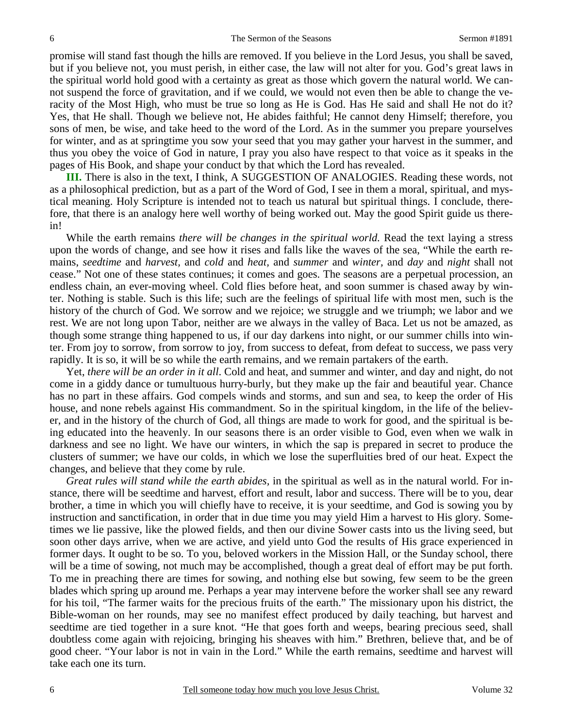promise will stand fast though the hills are removed. If you believe in the Lord Jesus, you shall be saved, but if you believe not, you must perish, in either case, the law will not alter for you. God's great laws in the spiritual world hold good with a certainty as great as those which govern the natural world. We cannot suspend the force of gravitation, and if we could, we would not even then be able to change the veracity of the Most High, who must be true so long as He is God. Has He said and shall He not do it? Yes, that He shall. Though we believe not, He abides faithful; He cannot deny Himself; therefore, you sons of men, be wise, and take heed to the word of the Lord. As in the summer you prepare yourselves for winter, and as at springtime you sow your seed that you may gather your harvest in the summer, and thus you obey the voice of God in nature, I pray you also have respect to that voice as it speaks in the pages of His Book, and shape your conduct by that which the Lord has revealed.

**III.** There is also in the text, I think, A SUGGESTION OF ANALOGIES. Reading these words, not as a philosophical prediction, but as a part of the Word of God, I see in them a moral, spiritual, and mystical meaning. Holy Scripture is intended not to teach us natural but spiritual things. I conclude, therefore, that there is an analogy here well worthy of being worked out. May the good Spirit guide us therein!

 While the earth remains *there will be changes in the spiritual world.* Read the text laying a stress upon the words of change, and see how it rises and falls like the waves of the sea, "While the earth remains, *seedtime* and *harvest,* and *cold* and *heat,* and *summer* and *winter,* and *day* and *night* shall not cease." Not one of these states continues; it comes and goes. The seasons are a perpetual procession, an endless chain, an ever-moving wheel. Cold flies before heat, and soon summer is chased away by winter. Nothing is stable. Such is this life; such are the feelings of spiritual life with most men, such is the history of the church of God. We sorrow and we rejoice; we struggle and we triumph; we labor and we rest. We are not long upon Tabor, neither are we always in the valley of Baca. Let us not be amazed, as though some strange thing happened to us, if our day darkens into night, or our summer chills into winter. From joy to sorrow, from sorrow to joy, from success to defeat, from defeat to success, we pass very rapidly. It is so, it will be so while the earth remains, and we remain partakers of the earth.

 Yet, *there will be an order in it all*. Cold and heat, and summer and winter, and day and night, do not come in a giddy dance or tumultuous hurry-burly, but they make up the fair and beautiful year. Chance has no part in these affairs. God compels winds and storms, and sun and sea, to keep the order of His house, and none rebels against His commandment. So in the spiritual kingdom, in the life of the believer, and in the history of the church of God, all things are made to work for good, and the spiritual is being educated into the heavenly. In our seasons there is an order visible to God, even when we walk in darkness and see no light. We have our winters, in which the sap is prepared in secret to produce the clusters of summer; we have our colds, in which we lose the superfluities bred of our heat. Expect the changes, and believe that they come by rule.

*Great rules will stand while the earth abides,* in the spiritual as well as in the natural world. For instance, there will be seedtime and harvest, effort and result, labor and success. There will be to you, dear brother, a time in which you will chiefly have to receive, it is your seedtime, and God is sowing you by instruction and sanctification, in order that in due time you may yield Him a harvest to His glory. Sometimes we lie passive, like the plowed fields, and then our divine Sower casts into us the living seed, but soon other days arrive, when we are active, and yield unto God the results of His grace experienced in former days. It ought to be so. To you, beloved workers in the Mission Hall, or the Sunday school, there will be a time of sowing, not much may be accomplished, though a great deal of effort may be put forth. To me in preaching there are times for sowing, and nothing else but sowing, few seem to be the green blades which spring up around me. Perhaps a year may intervene before the worker shall see any reward for his toil, "The farmer waits for the precious fruits of the earth." The missionary upon his district, the Bible-woman on her rounds, may see no manifest effect produced by daily teaching, but harvest and seedtime are tied together in a sure knot. "He that goes forth and weeps, bearing precious seed, shall doubtless come again with rejoicing, bringing his sheaves with him." Brethren, believe that, and be of good cheer. "Your labor is not in vain in the Lord." While the earth remains, seedtime and harvest will take each one its turn.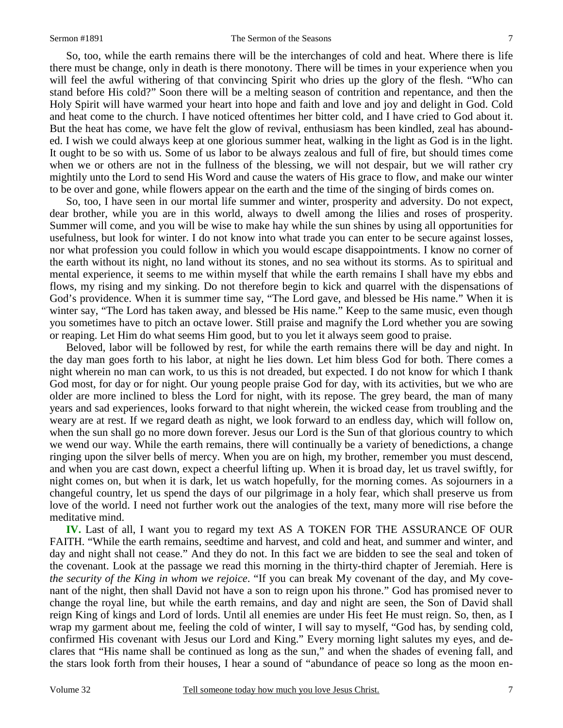So, too, while the earth remains there will be the interchanges of cold and heat. Where there is life there must be change, only in death is there monotony. There will be times in your experience when you will feel the awful withering of that convincing Spirit who dries up the glory of the flesh. "Who can stand before His cold?" Soon there will be a melting season of contrition and repentance, and then the Holy Spirit will have warmed your heart into hope and faith and love and joy and delight in God. Cold and heat come to the church. I have noticed oftentimes her bitter cold, and I have cried to God about it. But the heat has come, we have felt the glow of revival, enthusiasm has been kindled, zeal has abounded. I wish we could always keep at one glorious summer heat, walking in the light as God is in the light. It ought to be so with us. Some of us labor to be always zealous and full of fire, but should times come when we or others are not in the fullness of the blessing, we will not despair, but we will rather cry mightily unto the Lord to send His Word and cause the waters of His grace to flow, and make our winter to be over and gone, while flowers appear on the earth and the time of the singing of birds comes on.

 So, too, I have seen in our mortal life summer and winter, prosperity and adversity. Do not expect, dear brother, while you are in this world, always to dwell among the lilies and roses of prosperity. Summer will come, and you will be wise to make hay while the sun shines by using all opportunities for usefulness, but look for winter. I do not know into what trade you can enter to be secure against losses, nor what profession you could follow in which you would escape disappointments. I know no corner of the earth without its night, no land without its stones, and no sea without its storms. As to spiritual and mental experience, it seems to me within myself that while the earth remains I shall have my ebbs and flows, my rising and my sinking. Do not therefore begin to kick and quarrel with the dispensations of God's providence. When it is summer time say, "The Lord gave, and blessed be His name." When it is winter say, "The Lord has taken away, and blessed be His name." Keep to the same music, even though you sometimes have to pitch an octave lower. Still praise and magnify the Lord whether you are sowing or reaping. Let Him do what seems Him good, but to you let it always seem good to praise.

 Beloved, labor will be followed by rest, for while the earth remains there will be day and night. In the day man goes forth to his labor, at night he lies down. Let him bless God for both. There comes a night wherein no man can work, to us this is not dreaded, but expected. I do not know for which I thank God most, for day or for night. Our young people praise God for day, with its activities, but we who are older are more inclined to bless the Lord for night, with its repose. The grey beard, the man of many years and sad experiences, looks forward to that night wherein, the wicked cease from troubling and the weary are at rest. If we regard death as night, we look forward to an endless day, which will follow on, when the sun shall go no more down forever. Jesus our Lord is the Sun of that glorious country to which we wend our way. While the earth remains, there will continually be a variety of benedictions, a change ringing upon the silver bells of mercy. When you are on high, my brother, remember you must descend, and when you are cast down, expect a cheerful lifting up. When it is broad day, let us travel swiftly, for night comes on, but when it is dark, let us watch hopefully, for the morning comes. As sojourners in a changeful country, let us spend the days of our pilgrimage in a holy fear, which shall preserve us from love of the world. I need not further work out the analogies of the text, many more will rise before the meditative mind.

**IV.** Last of all, I want you to regard my text AS A TOKEN FOR THE ASSURANCE OF OUR FAITH. "While the earth remains, seedtime and harvest, and cold and heat, and summer and winter, and day and night shall not cease." And they do not. In this fact we are bidden to see the seal and token of the covenant. Look at the passage we read this morning in the thirty-third chapter of Jeremiah. Here is *the security of the King in whom we rejoice*. "If you can break My covenant of the day, and My covenant of the night, then shall David not have a son to reign upon his throne." God has promised never to change the royal line, but while the earth remains, and day and night are seen, the Son of David shall reign King of kings and Lord of lords. Until all enemies are under His feet He must reign. So, then, as I wrap my garment about me, feeling the cold of winter, I will say to myself, "God has, by sending cold, confirmed His covenant with Jesus our Lord and King." Every morning light salutes my eyes, and declares that "His name shall be continued as long as the sun," and when the shades of evening fall, and the stars look forth from their houses, I hear a sound of "abundance of peace so long as the moon en